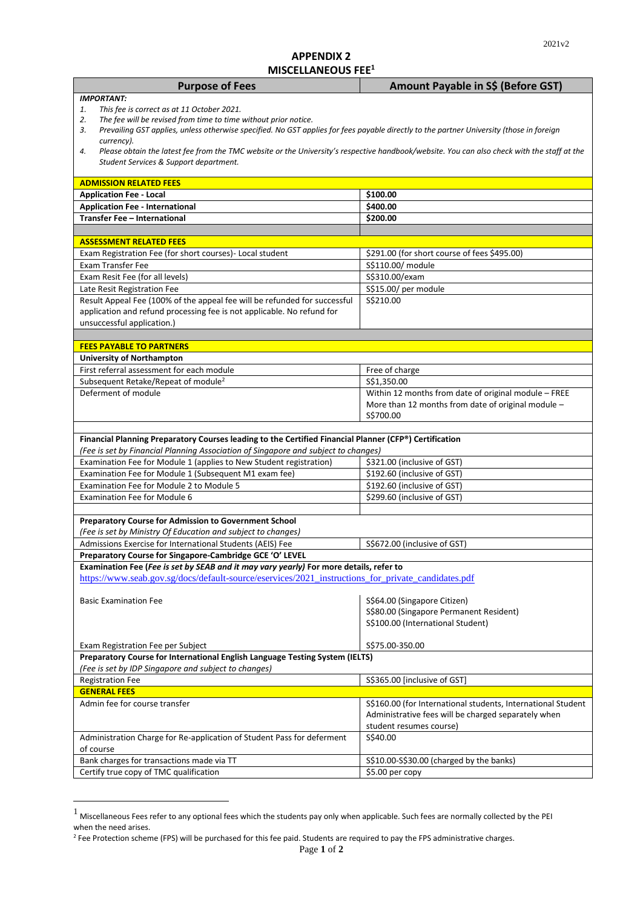## **APPENDIX 2 MISCELLANEOUS FEE<sup>1</sup>**

|                                                                                                                                                   | Amount Payable in S\$ (Before GST)                                                                         |  |
|---------------------------------------------------------------------------------------------------------------------------------------------------|------------------------------------------------------------------------------------------------------------|--|
| <b>IMPORTANT:</b>                                                                                                                                 |                                                                                                            |  |
| This fee is correct as at 11 October 2021.<br>1.                                                                                                  |                                                                                                            |  |
| The fee will be revised from time to time without prior notice.<br>2.                                                                             |                                                                                                            |  |
| Prevailing GST applies, unless otherwise specified. No GST applies for fees payable directly to the partner University (those in foreign<br>3.    |                                                                                                            |  |
| currency).                                                                                                                                        |                                                                                                            |  |
| Please obtain the latest fee from the TMC website or the University's respective handbook/website. You can also check with the staff at the<br>4. |                                                                                                            |  |
| Student Services & Support department.                                                                                                            |                                                                                                            |  |
| <b>ADMISSION RELATED FEES</b>                                                                                                                     |                                                                                                            |  |
| <b>Application Fee - Local</b>                                                                                                                    | \$100.00                                                                                                   |  |
| <b>Application Fee - International</b>                                                                                                            | \$400.00                                                                                                   |  |
| Transfer Fee - International                                                                                                                      | \$200.00                                                                                                   |  |
|                                                                                                                                                   |                                                                                                            |  |
| <b>ASSESSMENT RELATED FEES</b>                                                                                                                    |                                                                                                            |  |
| Exam Registration Fee (for short courses) - Local student                                                                                         | \$291.00 (for short course of fees \$495.00)                                                               |  |
| <b>Exam Transfer Fee</b>                                                                                                                          | S\$110.00/ module                                                                                          |  |
| Exam Resit Fee (for all levels)                                                                                                                   | S\$310.00/exam                                                                                             |  |
| Late Resit Registration Fee                                                                                                                       | S\$15.00/ per module                                                                                       |  |
| Result Appeal Fee (100% of the appeal fee will be refunded for successful                                                                         | S\$210.00                                                                                                  |  |
| application and refund processing fee is not applicable. No refund for                                                                            |                                                                                                            |  |
| unsuccessful application.)                                                                                                                        |                                                                                                            |  |
|                                                                                                                                                   |                                                                                                            |  |
| <b>FEES PAYABLE TO PARTNERS</b>                                                                                                                   |                                                                                                            |  |
| <b>University of Northampton</b>                                                                                                                  |                                                                                                            |  |
| First referral assessment for each module                                                                                                         | Free of charge                                                                                             |  |
| Subsequent Retake/Repeat of module <sup>2</sup><br>Deferment of module                                                                            | \$\$1,350.00                                                                                               |  |
|                                                                                                                                                   | Within 12 months from date of original module - FREE<br>More than 12 months from date of original module - |  |
|                                                                                                                                                   | S\$700.00                                                                                                  |  |
|                                                                                                                                                   |                                                                                                            |  |
|                                                                                                                                                   |                                                                                                            |  |
|                                                                                                                                                   |                                                                                                            |  |
| Financial Planning Preparatory Courses leading to the Certified Financial Planner (CFP®) Certification                                            |                                                                                                            |  |
| (Fee is set by Financial Planning Association of Singapore and subject to changes)                                                                |                                                                                                            |  |
| Examination Fee for Module 1 (applies to New Student registration)                                                                                | \$321.00 (inclusive of GST)                                                                                |  |
| Examination Fee for Module 1 (Subsequent M1 exam fee)<br>Examination Fee for Module 2 to Module 5                                                 | \$192.60 (inclusive of GST)                                                                                |  |
| <b>Examination Fee for Module 6</b>                                                                                                               | \$192.60 (inclusive of GST)<br>\$299.60 (inclusive of GST)                                                 |  |
|                                                                                                                                                   |                                                                                                            |  |
| Preparatory Course for Admission to Government School                                                                                             |                                                                                                            |  |
| (Fee is set by Ministry Of Education and subject to changes)                                                                                      |                                                                                                            |  |
| Admissions Exercise for International Students (AEIS) Fee                                                                                         | S\$672.00 (inclusive of GST)                                                                               |  |
| Preparatory Course for Singapore-Cambridge GCE 'O' LEVEL                                                                                          |                                                                                                            |  |
| Examination Fee (Fee is set by SEAB and it may vary yearly) For more details, refer to                                                            |                                                                                                            |  |
| https://www.seab.gov.sg/docs/default-source/eservices/2021 instructions for private candidates.pdf                                                |                                                                                                            |  |
|                                                                                                                                                   |                                                                                                            |  |
| <b>Basic Examination Fee</b>                                                                                                                      | S\$64.00 (Singapore Citizen)                                                                               |  |
|                                                                                                                                                   | S\$80.00 (Singapore Permanent Resident)                                                                    |  |
|                                                                                                                                                   | S\$100.00 (International Student)                                                                          |  |
| Exam Registration Fee per Subject                                                                                                                 | \$\$75.00-350.00                                                                                           |  |
| Preparatory Course for International English Language Testing System (IELTS)                                                                      |                                                                                                            |  |
| (Fee is set by IDP Singapore and subject to changes)                                                                                              |                                                                                                            |  |
| <b>Registration Fee</b>                                                                                                                           | S\$365.00 [inclusive of GST]                                                                               |  |
| <b>GENERAL FEES</b>                                                                                                                               |                                                                                                            |  |
| Admin fee for course transfer                                                                                                                     | S\$160.00 (for International students, International Student                                               |  |
|                                                                                                                                                   | Administrative fees will be charged separately when                                                        |  |
|                                                                                                                                                   | student resumes course)                                                                                    |  |
| Administration Charge for Re-application of Student Pass for deferment                                                                            | S\$40.00                                                                                                   |  |
| of course<br>Bank charges for transactions made via TT                                                                                            | S\$10.00-S\$30.00 (charged by the banks)                                                                   |  |

 $<sup>1</sup>$  Miscellaneous Fees refer to any optional fees which the students pay only when applicable. Such fees are normally collected by the PEI</sup> when the need arises.

<sup>&</sup>lt;sup>2</sup> Fee Protection scheme (FPS) will be purchased for this fee paid. Students are required to pay the FPS administrative charges.